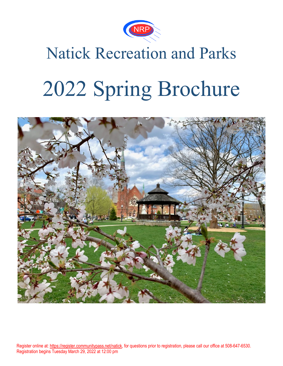

# Natick Recreation and Parks

# 2022 Spring Brochure

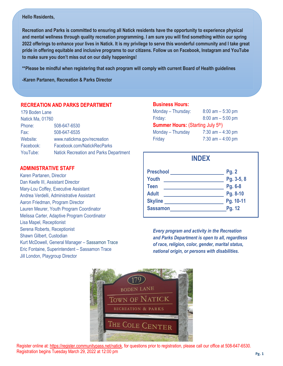### **Hello Residents,**

**Recreation and Parks is committed to ensuring all Natick residents have the opportunity to experience physical and mental wellness through quality recreation programming. I am sure you will find something within our spring 2022 offerings to enhance your lives in Natick. It is my privilege to serve this wonderful community and I take great pride in offering equitable and inclusive programs to our citizens. Follow us on Facebook, Instagram and YouTube to make sure you don't miss out on our daily happenings!**

**\*\*Please be mindful when registering that each program will comply with current Board of Health guidelines**

**-Karen Partanen, Recreation & Parks Director**

### **RECREATION AND PARKS DEPARTMENT**

| 179 Boden Lane   |                                               |
|------------------|-----------------------------------------------|
| Natick Ma, 01760 |                                               |
| Phone:           | 508-647-6530                                  |
| Fax:             | 508-647-6535                                  |
| Website:         | www.natickma.gov/recreation                   |
| Facebook:        | Facebook.com/NatickRecParks                   |
| YouTube:         | <b>Natick Recreation and Parks Department</b> |

### **ADMINISTRATIVE STAFF**

l, Karen Partanen, Director Dan Keefe III, Assistant Director Mary-Lou Coffey, Executive Assistant Andrea Verdelli, Administrative Assistant Aaron Friedman, Program Director Lauren Meurer, Youth Program Coordinator Melissa Carter, Adaptive Program Coordinator Lisa Mapel, Receptionist Serena Roberts, Receptionist Shawn Gilbert, Custodian Kurt McDowell, General Manager – Sassamon Trace Eric Fontaine, Superintendent – Sassamon Trace Jill London, Playgroup Director

### **Business Hours:**

| Monday - Thursday:                       | $8:00$ am $-5:30$ pm |  |  |  |
|------------------------------------------|----------------------|--|--|--|
| Friday:                                  | $8:00$ am $-5:00$ pm |  |  |  |
| <b>Summer Hours: (Starting July 5th)</b> |                      |  |  |  |
| Monday - Thursday                        | $7:30$ am $-4:30$ pm |  |  |  |
| Friday                                   | $7:30$ am $-4:00$ pm |  |  |  |

### **INDEX**

| <b>Preschool</b> | Pg. 2      |
|------------------|------------|
| Youth            | Pg. 3-5, 8 |
| <b>Teen</b>      | Pg. 6-8    |
| <b>Adult</b>     | Pg. 8-10   |
| <b>Skyline</b>   | Pg. 10-11  |
| <b>Sassamon</b>  | Pg. 12     |

*Every program and activity in the Recreation and Parks Department is open to all, regardless of race, religion, color, gender, marital status, national origin, or persons with disabilities.*

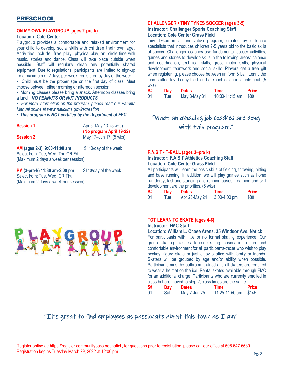### PRESCHOOL

### **ON MY OWN PLAYGROUP (ages 2-pre-k)**

### **Location: Cole Center**

Playgroup provides a comfortable and relaxed environment for your child to develop social skills with children their own age. Activities include: free play, physical play, art, circle time with music, stories and dance. Class will take place outside when possible. Staff will regularly clean any potentially shared equipment. Due to regulations, participants are limited to sign-up for a maximum of 2 days per week, registered by day of the week.

• Child must be the proper age on the first day of class. Must choose between either morning or afternoon session.

• Morning classes please bring a snack. Afternoon classes bring a lunch. *NO PEANUTS OR NUT PRODUCTS.*

• *For more information on the program, please read our Parents Manual online a[t www.natickma.gov/recreation](http://www.natickma.gov/recreation)*

• *This program is NOT certified by the Department of EEC.*

| <b>Session 1:</b>                                                                                       | Apr 5-May 13 (5 wks)                              |
|---------------------------------------------------------------------------------------------------------|---------------------------------------------------|
| <b>Session 2:</b>                                                                                       | (No program April 19-22)<br>May 17-Jun 17 (5 wks) |
| AM (ages 2-3) 9:00-11:00 am<br>Select from: Tue, Wed, Thu OR Fri<br>(Maximum 2 days a week per session) | \$110/day of the week                             |
| $DM/2$ and $h/44.20$ am $2.00$ am                                                                       | $Q110/001$ of the wook                            |

**PM** (3-pre-k) 11:30 am-2:00 pm \$140/day of the week Select from: Tue, Wed, OR Thu (Maximum 2 days a week per session)

### **CHALLENGER • TINY TYKES SOCCER (ages 3-5)**

#### **Instructor: Challenger Sports Coaching Staff Location: Cole Center Grass Field**

Tiny Tykes is an innovative program, created by childcare specialists that introduces children 2-5 years old to the basic skills of soccer. Challenger coaches use fundamental soccer activities, games and stories to develop skills in the following areas: balance and coordination, technical skills, gross motor skills, physical development, teamwork and social skills. Players get a free gift when registering, please choose between uniform & ball, Lenny the Lion stuffed toy, Lenny the Lion backpack or an inflatable goal. (5 wks)

| S# | Day  | <b>Dates</b> | Time           | <b>Price</b> |
|----|------|--------------|----------------|--------------|
| 01 | l ue | May 3-May 31 | 10:30-11:15 am | \$80         |

### "What an amazing job coaches are dong with this program."

### **F.A.S.T • T-BALL (ages 3–pre k)**

### **Instructor: F.A.S.T Athletics Coaching Staff Location: Cole Center Grass Field**

All participants will learn the basic skills of fielding, throwing, hitting and base running. In addition, we will play games such as home run derby, last one standing and running bases. Learning and skill development are the priorities. (5 wks)

| S# | Day  | <b>Dates</b>  | Time           | <b>Price</b> |
|----|------|---------------|----------------|--------------|
| 01 | l ue | Apr 26-May 24 | $3:00-4:00$ pm | \$80         |



### **TOT LEARN TO SKATE (ages 4-6) Instructor: FMC Staff**

### **Location: William L. Chase Arena, 35 Windsor Ave, Natick**

For participants with little or no formal skating experience. Our group skating classes teach skating basics in a fun and comfortable environment for all participants-those who wish to play hockey, figure skate or just enjoy skating with family or friends. Skaters will be grouped by age and/or ability when possible. Participants must be bathroom trained and all skaters are required to wear a helmet on the ice. Rental skates available through FMC for an additional charge. Participants who are currently enrolled in class but are moved to step 2, class times are the same.

| S# | Day | <b>Dates</b> | <b>Time</b>          | <b>Price</b> |
|----|-----|--------------|----------------------|--------------|
| 01 | Sat | May 7-Jun 25 | 11:25-11:50 am \$145 |              |

"It's great to find employees as passionate about this town as  $I$  am"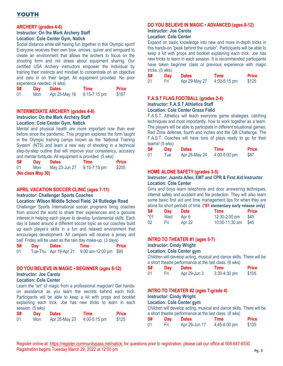### YOUTH

### **ARCHERY (grades 4-6)**

#### **Instructor: On the Mark Archery Staff Location: Cole Center Gym, Natick**

Social distance while still having fun together in this Olympic sport! Everyone receives their own bow, arrows, quiver and armguard to create an environment that allows the archers to focus on the shooting form and not stress about equipment sharing. Our certified USA Archery instructors empower the individual by training their instincts and mindset to concentrate on an objective and zero in on their target. All equipment provided. No prior experience needed. (4 wks)

| S# | Day | <b>Dates</b>  | Time             | <b>Price</b> |
|----|-----|---------------|------------------|--------------|
| 01 | Mon | Apr 25-May 16 | $6:15 - 7:15$ pm | \$167        |

### **INTERMEDIATE ARCHERY (grades 4-6) Instructor: On the Mark Archery Staff**

### **Location: Cole Center Gym, Natick**

Mental and physical health are more important now than ever before since the pandemic. This program explores the form taught in the Olympic training camps known as the 'National Training System' (NTS) and learn a new way of shooting in a technical step-by-step outline that will improve your consistency, accuracy and mental fortitude. All equipment is provided. (5 wks)

| S# | Day               | <b>Dates</b>  | Time             | <b>Price</b> |
|----|-------------------|---------------|------------------|--------------|
| 01 | Mon               | May 23-Jun 27 | $6:15 - 7:15$ pm | \$205        |
|    | (No class May 30) |               |                  |              |

### **APRIL VACATION SOCCER CLINIC (ages 7-11)**

#### **Instructor: Challenger Sports Coaches**

### **Location: Wilson Middle School Field, 24 Rutledge Road**

Challenger Sports International soccer programs bring coaches from around the world to share their experiences and a genuine interest in helping each player to develop fundamental skills. Each day is based around a different soccer topic as our coaches build up each player's skills in a fun and relaxed environment that encourages development. All campers will receive a jersey and ball. Friday will be used as the rain day make-up. (3 days)

| S# | Day | <b>Dates</b>          | Time                    | <b>Price</b> |
|----|-----|-----------------------|-------------------------|--------------|
| 01 |     | Tue-Thu Apr 19-Apr 21 | $9:00$ am-12:00 pm \$95 |              |

### **DO YOU BELIEVE IN MAGIC • BEGINNER (ages 8-12) Instructor: Joe Carota**

### **Location: Cole Center**

Learn the "art" of magic from a professional magician! Get handson assistance as you learn the secrets behind each trick. Participants will be able to keep a kit with props and booklet explaining each trick. Joe has new tricks to learn in each session. (5 wks)

| S# | Day | <b>Dates</b>  | Time           | <b>Price</b> |
|----|-----|---------------|----------------|--------------|
| 01 | Mon | Apr 25-May 23 | $4:00-5:15$ pm | \$125        |

### **DO YOU BELIEVE IN MAGIC • ADVANCED (ages 8-12)**

### **Instructor: Joe Carota**

#### **Location: Cole Center**

Expand on basic knowledge into new and more in-depth tricks in this hands-on "peak behind the curtain". Participants will be able to keep a kit with props and booklet explaining each trick. Joe has new tricks to learn in each session. It is recommended participants have taken beginner class or previous experience with magic tricks. (5 wks)

| S# | Day  | <b>Dates</b>  | <b>Time</b>    | <b>Price</b> |
|----|------|---------------|----------------|--------------|
| 01 | Fri. | Apr 29-May 27 | $4:00-5:15$ pm | \$125        |

### **F.A.S.T FLAG FOOTBALL (grades 2-4)**

#### **Instructor: F.A.S.T Athletics Staff**

#### **Location: Cole Center Grass Field**

F.A.S.T. Athletics will teach everyone game strategies, catching techniques and most importantly, how to work together as a team. The players will be able to participate in different situational games; Red Zone defense, fourth and inches and the QB Challenge. The F.A.S.T. Coaches will have tons of plays ready to go for their teams! (5 wks)

| S# | Day  | <b>Dates</b>  | Time           | Price |
|----|------|---------------|----------------|-------|
| 01 | l ue | Apr 26-May 24 | $4:00-5:00$ pm | \$87  |

### **HOME ALONE SAFETY (grades 3-5)**

### **Instructor: Juanita Allen, EMT and CPR & First Aid Instructor Location: Cole Center**

Girls and boys learn telephone and door answering techniques, internet safety and accident and fire protection. They will also learn some basic first aid and time management tips for when they are alone for short periods of time. **(\*S1 elementary early release only)**

| S#    | <b>Day</b> | <b>Date</b> | Time           | <b>Price</b> |
|-------|------------|-------------|----------------|--------------|
| $*01$ | Wed        | Apr 6       | 12:30-2:00 pm  | \$45         |
| 02    | Нri        | Apr 22      | 10:00-11:30 am | -S45         |

### **INTRO TO THEATER #1 (ages 5-7)**

### **Instructor: Cindy Wright**

**Location: Cole Center gym**

Children will develop acting, musical and dance skills. There will be a short theatre performance at the last class. (6 wks)

| <b>S#</b> | Day | <b>Dates</b> | Time           | <b>Price</b> |
|-----------|-----|--------------|----------------|--------------|
| -01       | Нri | Apr 29-Jun 3 | $3:30-4:30$ pm | \$105        |

### **INTRO TO THEATER #2 (ages 7-grade 4)**

### **Instructor: Cindy Wright**

**Location: Cole Center gym**

Children will develop acting, musical and dance skills. There will be a short theatre performance at the last class. (8 wks)

| S# | Day  | <b>Dates</b>  | Time           | <b>Price</b> |
|----|------|---------------|----------------|--------------|
| 01 | Fri. | Apr 29-Jun 17 | $4:45-6:00$ pm | \$135        |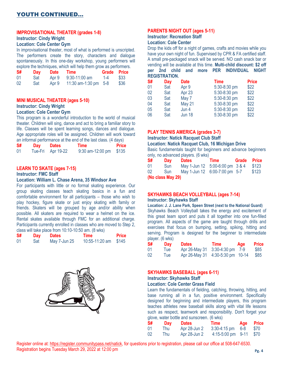### **IMPROVISATIONAL THEATER (grades 1-8)**

### **Instructor: Cindy Wright**

### **Location: Cole Center Gym**

In improvisational theater, most of what is performed is unscripted. The performers create the story, characters and dialogue spontaneously. In this one-day workshop, young performers will explore the techniques, which will help them grow as performers.

| S# | Day |       | Date Time              | Grade Price |      |
|----|-----|-------|------------------------|-------------|------|
| 01 | Sat |       | Apr 9 9:30-11:00 am    | 1-4         | \$33 |
| 02 | Sat | Apr 9 | 11:30 am-1:30 pm $5-8$ |             | \$36 |

### **MINI MUSICAL THEATER (ages 5-10)**

### **Instructor: Cindy Wright**

### **Location: Cole Center Gym**

This program is a wonderful introduction to the world of musical theater. Children will sing, dance and act to bring a familiar story to life. Classes will be spent learning songs, dances and dialogue. Age appropriate roles will be assigned. Children will work toward an informal performance at the end of the last class. (4 days)

| <b>S#</b> | Dav | <b>Dates</b>      | Time                     | <b>Price</b> |
|-----------|-----|-------------------|--------------------------|--------------|
| 01        |     | Tue-Fri Apr 19-22 | $9:30$ am-12:00 pm \$135 |              |

### **LEARN TO SKATE (ages 7-15)**

**Instructor: FMC Staff**

### **Location: William L. Chase Arena, 35 Windsor Ave**

For participants with little or no formal skating experience. Our group skating classes teach skating basics in a fun and comfortable environment for all participants – those who wish to play hockey, figure skate or just enjoy skating with family or friends. Skaters will be grouped by age and/or ability when possible. All skaters are required to wear a helmet on the ice. Rental skates available through FMC for an additional charge. Participants currently enrolled in classes who are moved to Step 2, class will take place from 10:10-10:50 am. (8 wks)

| S# | Day | <b>Dates</b> | Time                 | <b>Price</b> |
|----|-----|--------------|----------------------|--------------|
| 01 | Sat | May 7-Jun 25 | 10:55-11:20 am \$145 |              |



### **PARENTS NIGHT OUT (ages 5-11)**

### **Instructor: Recreation Staff**

### **Location: Cole Center**

Drop the kids off for a night of games, crafts and movies while you have your own night of fun. Supervised by CPR & FA certified staff. A small pre-packaged snack will be served. NO cash snack bar or vending will be available at this time. **Multi-child discount: \$2 off per 2nd child and more PER INDIVIDUAL NIGHT REGISTRATION.**

| S# | Day | <b>Date</b>   | <b>Time</b>  | <b>Price</b> |
|----|-----|---------------|--------------|--------------|
| 01 | Sat | Apr 9         | 5:30-8:30 pm | \$22         |
| 02 | Sat | Apr 23        | 5:30-8:30 pm | \$22         |
| 03 | Sat | May 7         | 5:30-8:30 pm | \$22         |
| 04 | Sat | <b>May 21</b> | 5:30-8:30 pm | \$22         |
| 05 | Sat | Jun 4         | 5:30-8:30 pm | \$22         |
| 06 | Sat | <b>Jun 18</b> | 5:30-8:30 pm | \$22         |

#### **PLAY TENNIS AMERICA (grades 3-7)**

**Instructor: Natick Racquet Club Staff** 

#### **Location: Natick Racquet Club, 16 Michigan Drive**

Basic fundamentals taught for beginners and advance beginners only, no advanced players. (6 wks)

| S# | Dav               | <b>Dates</b>                    | Time | Grade Price |       |
|----|-------------------|---------------------------------|------|-------------|-------|
| 01 | <b>Sun</b>        | May 1-Jun 12 5:00-6:00 pm 3 & 4 |      |             | \$123 |
| 02 | Sun               | May 1-Jun 12 6:00-7:00 pm 5-7   |      |             | \$123 |
|    | (No class May 29) |                                 |      |             |       |

#### **SKYHAWKS BEACH VOLLEYBALL (ages 7-14) Instructor: Skyhawks Staff**

**Location: J. J. Lane Park, Speen Street (next to the National Guard)** Skyhawks Beach Volleyball takes the energy and excitement of this great team sport and puts it all together into one fun-filled program. All aspects of the game are taught through drills and exercises that focus on bumping, setting, spiking, hitting and serving. Program is designed for the beginner to intermediate player. (6 wks)

| S# | <b>Day</b> | <b>Dates</b>                     | Time | Age | <b>Price</b> |
|----|------------|----------------------------------|------|-----|--------------|
| 01 | l ue       | Apr 26-May 31 3:30-4:30 pm 7-9   |      |     | \$85         |
| 02 | <b>lue</b> | Apr 26-May 31 4:30-5:30 pm 10-14 |      |     | \$85         |

### **SKYHAWKS BASEBALL (ages 6-11)**

### **Instructor: Skyhawks Staff**

### **Location: Cole Center Grass Field**

Learn the fundamentals of fielding, catching, throwing, hitting, and base running all in a fun, positive environment. Specifically designed for beginning and intermediate players, this program teaches athletes new baseball skills along with vital life lessons such as respect, teamwork and responsibility. Don't forget your glove, water bottle and sunscreen. (6 wks)

| S# | Day | Dates        | Time                             | <b>Age Price</b> |
|----|-----|--------------|----------------------------------|------------------|
| 01 | Thu | Apr 28-Jun 2 | $3:30-4:15 \text{ pm}$ 6-8       | \$70             |
| 02 | Thu | Apr 28-Jun 2 | $4:15-5:00 \text{ pm}$ 9-11 \$70 |                  |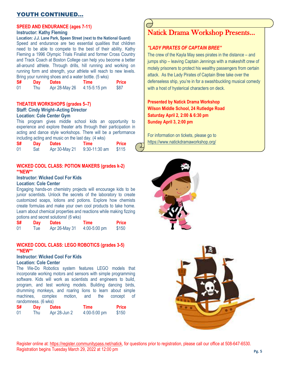### YOUTH CONTINUED…

### **SPEED AND ENDURANCE (ages 7-11)**

### **Instructor: Kathy Fleming**

**Location: J.J. Lane Park, Speen Street (next to the National Guard)**

Speed and endurance are two essential qualities that children need to be able to compete to the best of their ability. Kathy Fleming a 1996 Olympic Trials Finalist and former Cross Country and Track Coach at Boston College can help you become a better all-around athlete. Through drills, hill running and working on running form and strength, your athlete will reach to new levels. Bring your running shoes and a water bottle. (5 wks)

| <b>Principle 1999</b> Turning Under and a nature bottler (Child) |     |               |                |              |  |
|------------------------------------------------------------------|-----|---------------|----------------|--------------|--|
| S#                                                               | Day | <b>Dates</b>  | Time           | <b>Price</b> |  |
| 01                                                               | Thu | Apr 28-May 26 | $4:15-5:15$ pm | \$87         |  |

### **THEATER WORKSHOPS (grades 5–7)**

### **Staff: Cindy Wright–Acting Director**

### **Location: Cole Center Gym**

This program gives middle school kids an opportunity to experience and explore theater arts through their participation in acting and dance style workshops. There will be a performance including acting and music on the last day. (4 wks)

| <b>S#</b> | Day | <b>Dates</b>  | Time            | <b>Price</b> |
|-----------|-----|---------------|-----------------|--------------|
| 01        | Sat | Apr 30-May 21 | $9:30-11:30$ am | \$115        |

### **WICKED COOL CLASS: POTION MAKERS (grades k-2) \*\*NEW\*\***

### **Instructor: Wicked Cool For Kids**

### **Location: Cole Center**

Engaging hands-on chemistry projects will encourage kids to be junior scientists. Unlock the secrets of the laboratory to create customized soaps, lotions and potions. Explore how chemists create formulas and make your own cool products to take home. Learn about chemical properties and reactions while making fizzing potions and secret solutions! (6 wks)

| <b>S#</b> | Day  | <b>Dates</b>  | Time             | <b>Price</b> |
|-----------|------|---------------|------------------|--------------|
| 01        | l ue | Apr 26-May 31 | $4:00 - 5:00$ pm | \$150        |

### **WICKED COOL CLASS: LEGO ROBOTICS (grades 3-5) \*\*NEW\*\***

**Instructor: Wicked Cool For Kids**

### **Location: Cole Center**

The We-Do Robotics system features LEGO models that incorporate working motors and sensors with simple programming software. Kids will work as scientists and engineers to build, program, and test working models. Building dancing birds, drumming monkeys, and roaring lions to learn about simple machines, complex motion, and the concept of randomness. (6 wks)

| -S# | Day | <b>Dates</b> | Time             | <b>Price</b> |
|-----|-----|--------------|------------------|--------------|
| -01 | Thu | Apr 28-Jun 2 | $4:00 - 5:00$ pm | \$150        |

### Natick Drama Workshop Presents…

### *"LADY PIRATES OF CAPTAIN BREE"*

The crew of the Kayla May sees pirates in the distance – and jumps ship – leaving Captain Jennings with a makeshift crew of motely prisoners to protect his wealthy passengers from certain attack. As the Lady Pirates of Captain Bree take over the defenseless ship, you're in for a swashbuckling musical comedy with a host of hysterical characters on deck.

**Presented by Natick Drama Workshop Wilson Middle School, 24 Rutledge Road Saturday April 2, 2:00 & 6:30 pm Sunday April 3, 2:00 pm**

For information on tickets, please go to <https://www.natickdramaworkshop.org/>



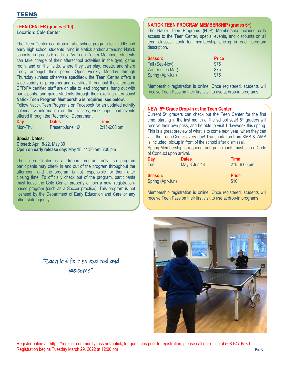### TEENS

### **TEEN CENTER (grades 6-10) Location: Cole Center**

The Teen Center is a drop-in, afterschool program for middle and early high school students living in Natick and/or attending Natick schools, in grades 6 and up. As Teen Center Members, students can take charge of their afterschool activities in the gym, game room, and on the fields, where they can play, create, and share freely amongst their peers. Open weekly Monday through Thursday (unless otherwise specified), the Teen Center offers a wide variety of programs and activities throughout the afternoon. CPR/FA certified staff are on site to lead programs, hang out with participants, and guide students through their exciting afternoons! **Natick Teen Program Membership is required, see below.**

Follow Natick Teen Programs on Facebook for an updated activity calendar & information on the classes, workshops, and events offered through the Recreation Department.

| Day     | <b>Dates</b>      | <b>Time</b>    |
|---------|-------------------|----------------|
| Mon-Thu | Present-June 16th | $2:15-6:00$ pm |

### **Special Dates:**

**Closed:** Apr 18-22, May 30 **Open on early release day:** May 18, 11:30 am-6:00 pm

The Teen Center is a drop-in program only, so program participants may check in and out of the program throughout the afternoon, and the program is not responsible for them after closing time. To officially check out of the program, participants must leave the Cole Center property or join a new, registrationbased program (such as a Soccer practice). This program is not licensed by the Department of Early Education and Care or any other state agency.

### **NATICK TEEN PROGRAM MEMBERSHIP (grades 6+)**

The Natick Teen Programs (NTP) Membership includes daily access to the Teen Center, special events, and discounts on all teen classes. Look for membership pricing in each program description.

| <b>Price</b> |
|--------------|
| \$75         |
| \$75         |
| \$75         |
|              |

Membership registration is online. Once registered, students will receive Teen Pass on their first visit to use at drop-in programs.

### **NEW: 5th Grade Drop-In at the Teen Center**

Current 5<sup>th</sup> graders can check out the Teen Center for the first time, starting in the last month of the school year!  $5<sup>th</sup>$  graders will receive their own pass, and be able to visit 1 day/week this spring. This is a great preview of what is to come next year, when they can visit the Teen Center every day! Transportation from KMS & WMS is included, pickup in front of the school after dismissal.

Spring Membership is required, and participants must sign a Code of Conduct upon arrival.

| Day                         | <b>Dates</b> | <b>Time</b>          |
|-----------------------------|--------------|----------------------|
| Tue                         | May 3-Jun 14 | 2:15-6:00 pm         |
| Season:<br>Spring (Apr-Jun) |              | <b>Price</b><br>\$10 |

Membership registration is online. Once registered, students will receive Teen Pass on their first visit to use at drop-in programs.



### "Each kid felt so excited and welcome"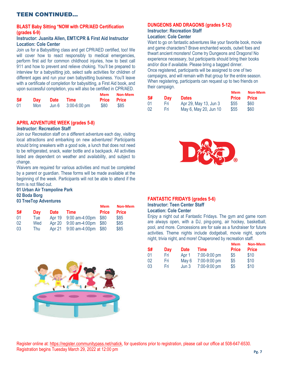### TEEN CONTINUED…

### **BLAST Baby Sitting \*NOW with CPR/AED Certification (grades 6-9)**

### **Instructor: Juanita Allen, EMT/CPR & First Aid Instructor Location: Cole Center**

Join us for a Babysitting class and get CPR/AED certified, too! We will cover how to react responsibly to medical emergencies, perform first aid for common childhood injuries, how to best call 911 and how to prevent and relieve choking. You'll be prepared to interview for a babysitting job, select safe activities for children of different ages and run your own babysitting business. You'll leave with a certificate of completion for babysitting, a First Aid book, and upon successful completion, you will also be certified in CPR/AED.

|    |     |      |                                     | Mem                | Non-Mem |
|----|-----|------|-------------------------------------|--------------------|---------|
| S# | Dav | Date | Time                                | <b>Price Price</b> |         |
| 01 | Mon |      | Jun $6\quad 3:00 - 6:00 \text{ pm}$ | <b>S80</b>         | \$85    |

### **APRIL ADVENTURE WEEK (grades 5-8)**

#### **Instructor: Recreation Staff**

Join our Recreation staff on a different adventure each day, visiting local attractions and embarking on new adventures! Participants should bring sneakers with a good sole, a lunch that does not need to be refrigerated, snack, water bottle and a backpack. All activities listed are dependent on weather and availability, and subject to change.

Waivers are required for various activities and must be completed by a parent or guardian. These forms will be made available at the beginning of the week. Participants will not be able to attend if the form is not filled out.

### **01 Urban Air Trampoline Park 02 Boda Borg 03 TreeTop Adventures**

|    |     |             |                       | <b>Mem</b>   | <b>Non-Mem</b> |
|----|-----|-------------|-----------------------|--------------|----------------|
| S# | Dav | <b>Date</b> | <b>Time</b>           | <b>Price</b> | <b>Price</b>   |
| 01 | Tue | Apr 19      | 9:00 am-4:00pm        | \$80         | \$85           |
| 02 | Wed | Apr 20      | $9:00$ am-4:00pm \$80 |              | \$85           |
| 03 | Thu | Apr 21      | 9:00 am-4:00pm        | <b>\$80</b>  | \$85           |



### **DUNGEONS AND DRAGONS (grades 5-12)**

### **Instructor: Recreation Staff Location: Cole Center**

Want to go on fantastic adventures like your favorite book, movie and game characters? Brave enchanted woods, outwit foes and thwart ancient monsters! Come try Dungeons and Dragons! No experience necessary, but participants should bring their books and/or dice if available. Please bring a bagged dinner. Once registered, participants will be assigned to one of two campaigns, and will remain with that group for the entire season. When registering, participants can request up to two friends on their campaign.

| Mem   | Non-Mem      |    |            |                       | Mem  | <b>Non-Mem</b>     |
|-------|--------------|----|------------|-----------------------|------|--------------------|
| Price | <b>Price</b> | S# | <b>Dav</b> | <b>Dates</b>          |      | <b>Price Price</b> |
| \$80  | \$85         |    | Fri        | Apr 29, May 13, Jun 3 | \$55 | \$60               |
|       |              |    | Fri.       | May 6, May 20, Jun 10 | \$55 | \$60               |



### **FANTASTIC FRIDAYS (grades 5-6)**

### **Instructor: Teen Center Staff**

**Location: Cole Center**

Enjoy a night out at Fantastic Fridays. The gym and game room are always open, with a DJ, ping-pong, air hockey, basketball, pool, and more. Concessions are for sale as a fundraiser for future activities. Theme nights include dodgeball, movie night, sports night, trivia night, and more! Chaperoned by recreation staff.

| S# | Dav | <b>Date</b> | Time         | <b>Mem</b><br><b>Price</b> | Non-Mem<br><b>Price</b> |
|----|-----|-------------|--------------|----------------------------|-------------------------|
|    |     |             |              |                            |                         |
| 01 | Fri | Apr 1       | 7:00-9:00 pm | \$5                        | \$10                    |
| 02 | Fri | May 6       | 7:00-9:00 pm | \$5                        | \$10                    |
| 03 | Fri | Jun 3       | 7:00-9:00 pm | \$5                        | \$10                    |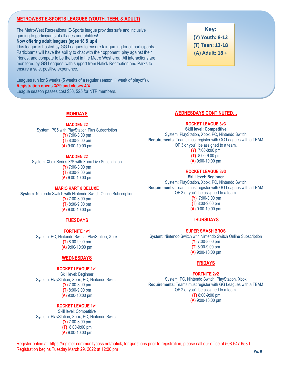### **METROWEST E-SPORTS LEAGUES (YOUTH, TEEN, & ADULT)**

The MetroWest Recreational E-Sports league provides safe and inclusive gaming to participants of all ages and abilities! **Now offering adult leagues (ages 18 & up)!** This league is hosted by GG Leagues to ensure fair gaming for all participants. Participants will have the ability to chat with their opponent, play against their friends, and compete to be the best in the Metro West area! All interactions are

monitored by GG Leagues, with support from Natick Recreation and Parks to ensure a safe, positive experience.

Leagues run for 6 weeks (5 weeks of a regular season, 1 week of playoffs). **Registration opens 3/29 and closes 4/4.** League season passes cost \$30, \$25 for NTP members.

### **Key: (Y) Youth: 8-12 (T) Teen: 13-18 (A) Adult: 18 +**

### **MONDAYS**

### **MADDEN 22**

System: PS5 with PlayStation Plus Subscription **(Y)** 7:00-8:00 pm **(T)** 8:00-9:00 pm **(A)** 9:00-10:00 pm

### **MADDEN 22**

System: Xbox Series X/S with Xbox Live Subscription **(Y)** 7:00-8:00 pm **(T)** 8:00-9:00 pm **(A)** 9:00-10:00 pm

### **MARIO KART 8 DELUXE**

**System**: Nintendo Switch with Nintendo Switch Online Subscription **(Y)** 7:00-8:00 pm **(T)** 8:00-9:00 pm **(A)** 9:00-10:00 pm

### **TUESDAYS**

**FORTNITE 1v1** System: PC, Nintendo Switch, PlayStation, Xbox **(T)** 8:00-9:00 pm **(A)** 9:00-10:00 pm

### **WEDNESDAYS**

### **ROCKET LEAGUE 1v1**

Skill level: Beginner System: PlayStation, Xbox, PC, Nintendo Switch **(Y)** 7:00-8:00 pm **(T)** 8:00-9:00 pm **(A)** 9:00-10:00 pm

### **ROCKET LEAGUE 1v1**

Skill level: Competitive System: PlayStation, Xbox, PC, Nintendo Switch **(Y)** 7:00-8:00 pm **(T)** 8:00-9:00 pm **(A)** 9:00-10:00 pm

### **WEDNESDAYS CONTINUTED…**

### **ROCKET LEAGUE 3v3**

**Skill level: Competitive** System: PlayStation, Xbox, PC, Nintendo Switch **Requirements**: Teams must register with GG Leagues with a TEAM OF 3 or you'll be assigned to a team. **(Y)** 7:00-8:00 pm

> **(T)** 8:00-9:00 pm **(A)** 9:00-10:00 pm

### **ROCKET LEAGUE 3v3**

**Skill level: Beginner** System: PlayStation, Xbox, PC, Nintendo Switch **Requirements**: Teams must register with GG Leagues with a TEAM OF 3 or you'll be assigned to a team. **(Y)** 7:00-8:00 pm **(T)** 8:00-9:00 pm **(A)** 9:00-10:00 pm

### **THURSDAYS**

**SUPER SMASH BROS** System: Nintendo Switch with Nintendo Switch Online Subscription **(Y)** 7:00-8:00 pm **(T)** 8:00-9:00 pm **(A)** 9:00-10:00 pm

### **FRIDAYS**

### **FORTNITE 2v2**

System: PC, Nintendo Switch, PlayStation, Xbox **Requirements**: Teams must register with GG Leagues with a TEAM OF 2 or you'll be assigned to a team. **(T)** 8:00-9:00 pm **(A)** 9:00-10:00 pm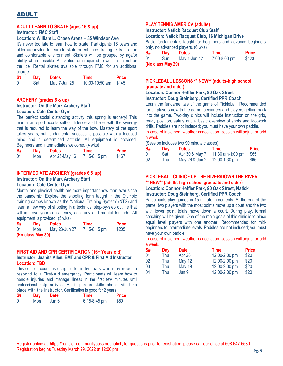### ADULT

### **ADULT LEARN TO SKATE (ages 16 & up)**

### **Instructor: FMC Staff**

#### **Location: William L. Chase Arena – 35 Windsor Ave**

It's never too late to learn how to skate! Participants 16 years and older are invited to learn to skate or enhance skating skills in a fun and comfortable environment. Skaters will be grouped by age/or ability when possible. All skaters are required to wear a helmet on the ice. Rental skates available through FMC for an additional charge.

| -S# | Day | <b>Dates</b> | Time                 | <b>Price</b> |
|-----|-----|--------------|----------------------|--------------|
| 01  | Sat | May 7-Jun 25 | 10:00-10:50 am \$145 |              |

### **ARCHERY (grades 6 & up)**

### **Instructor: On the Mark Archery Staff Location: Cole Center Gym**

The perfect social distancing activity this spring is archery! This martial art sport boosts self-confidence and belief with the synergy that is required to learn the way of the bow. Mastery of the sport takes years, but fundamental success is possible with a focused mind and a determined attitude. All equipment is provided. Beginners and intermediates welcome. (4 wks)

| S# | Day | <b>Dates</b>  | Time           | <b>Price</b> |
|----|-----|---------------|----------------|--------------|
| 01 | Mon | Apr 25-May 16 | $7:15-8:15$ pm | \$167        |

### **INTERMEDIATE ARCHERY (grades 6 & up)**

### **Instructor: On the Mark Archery Staff**

### **Location: Cole Center Gym**

Mental and physical health are more important now than ever since the pandemic. Explore the shooting form taught in the Olympic training camps known as the 'National Training System' (NTS) and learn a new way of shooting in a technical step-by-step outline that will improve your consistency, accuracy and mental fortitude. All equipment is provided. (5 wks)

| S#                | Day | <b>Dates</b>  | Time           | <b>Price</b> |  |
|-------------------|-----|---------------|----------------|--------------|--|
| 01                | Mon | May 23-Jun 27 | $7:15-8:15$ pm | \$205        |  |
| (No class May 30) |     |               |                |              |  |

### **FIRST AID AND CPR CERTIFICATION (16+ Years old) Instructor: Juanita Allen, EMT and CPR & First Aid Instructor Location: TBD**

This certified course is designed for individuals who may need to respond to a First-Aid emergency. Participants will learn how to handle injuries and manage illness in the first few minutes until professional help arrives. An in-person skills check will take place with the instructor. Certification is good for 2 years.

| S# | Dav | <b>Date</b> | Time           | <b>Price</b> |
|----|-----|-------------|----------------|--------------|
| 01 | Mon | Jun 6       | $6:15-8:45$ pm | \$80         |

### **PLAY TENNIS AMERICA (adults)**

### **Instructor: Natick Racquet Club Staff**

**Location: Natick Racquet Club, 16 Michigan Drive**

Basic fundamentals taught for beginners and advance beginners only, no advanced players. (6 wks)

| S#                | Day | <b>Dates</b> | Time         | <b>Price</b> |  |
|-------------------|-----|--------------|--------------|--------------|--|
| 01                | Sun | May 1-Jun 12 | 7:00-8:00 pm | \$123        |  |
| (No class May 29) |     |              |              |              |  |

### **PICKLEBALL LESSONS \*\* NEW\*\* (adults-high school graduate and older)**

### **Location: Connor Heffler Park, 90 Oak Street Instructor: Doug Steinberg, Certified PPR Coach**

Learn the fundamentals of the game of Pickleball. Recommended for all players new to the game, beginners and players getting back into the game. Two-day clinics will include instruction on the grip, ready position, safety and a basic overview of shots and footwork drills. Paddles are not included; you must have your own paddle.

In case of inclement weather cancellation, session will adjust or add a week.

(Session includes two 90 minute classes)

| S# | Day | <b>Dates</b>   | Time             | <b>Price</b> |
|----|-----|----------------|------------------|--------------|
| 01 | Sat | Apr 30 & May 7 | 11:30 am-1:00 pm | \$65         |
| 02 | Thu | May 26 & Jun 2 | $12:00-1:30$ pm  | \$65         |

### **PICKLEBALL CLINIC • UP THE RIVER/DOWN THE RIVER \*\* NEW\*\* (adults-high school graduate and older)**

**Location: Connor Heffler Park, 90 Oak Street, Natick Instructor: Doug Steinberg, Certified PPR Coach**

Participants play games in 15 minute increments. At the end of the game, two players with the most points move up a court and the two with lower point totals move down a court. During play, formal coaching will be given. One of the main goals of this clinic is to place equal level players with one another. Recommended for midbeginners to intermediate levels. Paddles are not included; you must have your own paddle.

In case of inclement weather cancellation, session will adjust or add a week.

| S# | Day | <b>Date</b>   | <b>Time</b>   | <b>Price</b> |
|----|-----|---------------|---------------|--------------|
| 01 | Thu | Apr 28        | 12:00-2:00 pm | \$20         |
| 02 | Thu | <b>May 12</b> | 12:00-2:00 pm | \$20         |
| 03 | Thu | <b>May 19</b> | 12:00-2:00 pm | \$20         |
| 04 | Thu | Jun 9         | 12:00-2:00 pm | \$20         |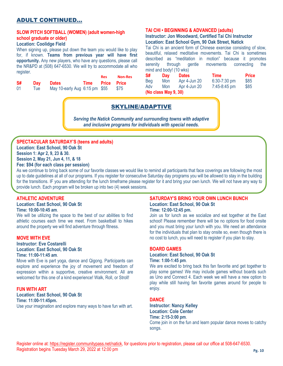### ADULT CONTINUED…

### **SLOW PITCH SOFTBALL (WOMEN) (adult women-high school graduate or older)**

### **Location: Coolidge Field**

When signing up, please put down the team you would like to play for, if known. **Teams from previous year will have first opportunity.** Any new players, who have any questions, please call the NR&PD at (508) 647-6530. We will try to accommodate all who register.

|           |      |                               |                  | <b>Res</b> | <b>Non-Res</b> |
|-----------|------|-------------------------------|------------------|------------|----------------|
| <b>S#</b> | Dav  | <b>Dates</b>                  | Time Price Price |            |                |
| -01       | l ue | May 10-early Aug 6:15 pm \$55 |                  |            | \$75           |

### **TAI CHI • BEGINNING & ADVANCED (adults)**

### **Instructor: Jon Woodward, Certified Tai Chi Instructor Location: East School Gym, 90 Oak Street, Natick**

Tai Chi is an ancient form of Chinese exercise consisting of slow, beautiful, relaxed meditative movements. Tai Chi is sometimes described as "meditation in motion" because it promotes serenity through gentle movements connecting the mind and body! (10 wks)

| S#  | Dav                  | <b>Dates</b> | Time         | <b>Price</b> |
|-----|----------------------|--------------|--------------|--------------|
| Beg | Mon                  | Apr 4-Jun 20 | 6:30-7:30 pm | \$85         |
| Adv | <b>Mon</b>           | Apr 4-Jun 20 | 7:45-8:45 pm | \$85         |
|     | (No class May 9, 30) |              |              |              |

### SKYLINE/ADAPTIVE

*Serving the Natick Community and surrounding towns with adaptive and inclusive programs for individuals with special needs.*

### **SPECTACULAR SATURDAY'S (teens and adults)**

**Location: East School, 90 Oak St Session 1: Apr 2, 9, 23 & 30.** 

**Session 2, May 21, Jun 4, 11, & 18**

**Fee: \$94 (for each class per session)**

As we continue to bring back some of our favorite classes we would like to remind all participants that face coverings are following the most up to date guidelines at all of our programs. If you register for consecutive Saturday day programs you will be allowed to stay in the building for the transitions. IF you are attending for the lunch timeframe please register for it and bring your own lunch. We will not have any way to provide lunch. Each program will be broken up into two (4) week sessions.

### **ATHLETIC ADVENTURE**

**Location: East School, 90 Oak St Time: 10:00-10:45 am**.

We will be utilizing the space to the best of our abilities to find athletic courses each time we meet. From basketball to hikes around the property we will find adventure through fitness.

### **MOVE WITH EVE**

**Instructor: Eve Costarelli Location: East School, 90 Oak St Time: 11:00-11:45 am**.

Move with Eve is part yoga, dance and Qigong. Participants can explore and experience the joy of movement and freedom of expression within a supportive, creative environment. All are welcomed for this one of a kind experience! Walk, Roll, or Stroll!

### **FUN WITH ART**

**Location: East School, 90 Oak St Time: 11:00-11:45pm.** Use your imagination and explore many ways to have fun with art.

#### **SATURDAY'S BRING YOUR OWN LUNCH BUNCH Location: East School, 90 Oak St Time: 12:00-12:45 pm.**

Join us for lunch as we socialize and eat together at the East school! Please remember there will be no options for food onsite and you must bring your lunch with you. We need an attendance for the individuals that plan to stay onsite so, even though there is no cost to lunch, you will need to register if you plan to stay.

### **BOARD GAMES**

#### **Location: East School, 90 Oak St Time: 1:00-1:45 pm**.

We are excited to bring back this fan favorite and get together to play some games! We may include games without boards such as Uno and Connect 4. Each week we will have a new option to play while still having fan favorite games around for people to enjoy.

### **DANCE**

**Instructor: Nancy Kelley Location: Cole Center Time: 2:15-3:00 pm**. Come join in on the fun and learn popular dance moves to catchy songs.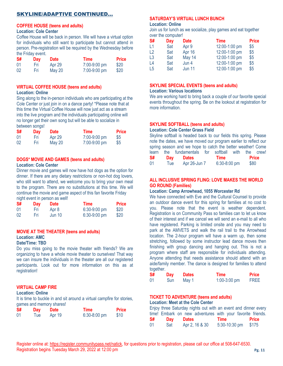### SKYLINE/ADAPTIVE CONTINUED…

#### **COFFEE HOUSE (teens and adults) Location: Cole Center**

Coffee House will be back in person. We will have a virtual option for individuals who still want to participate but cannot attend in person. Pre-registration will be required by the Wednesday before the Friday event.

| S# | Day | <b>Date</b>   | <b>Time</b>  | <b>Price</b> |
|----|-----|---------------|--------------|--------------|
| 01 | Нri | Apr 29        | 7:00-9:00 pm | \$20         |
| 02 | Нri | <b>May 20</b> | 7:00-9:00 pm | \$20         |

#### **VIRTUAL COFFEE HOUSE (teens and adults) Location: Online**

Sing along to the in-person individuals who are participating at the Cole Center or just join in on a dance party! \*Please note that at this time the Virtual Coffee House will now just act as a stream into the live program and the individuals participating online will no longer get their own song but will be able to socialize in between songs!

| S#  | Day | <b>Date</b> | <b>Time</b>  | <b>Price</b> |
|-----|-----|-------------|--------------|--------------|
| -01 | Fri | Apr 29      | 7:00-9:00 pm | \$5          |
| 02  | Fri | May 20      | 7:00-9:00 pm | \$5          |

#### **DOGS\* MOVIE AND GAMES (teens and adults) Location: Cole Center**

Dinner movie and games will now have hot dogs as the option for dinner. If there are any dietary restrictions or non-hot dog lovers, who still want to attend, we welcome you to bring your own meal to the program. There are no substitutions at this time. We will continue the movie and game aspect of this fan favorite Friday night event in person as well!

| S# | Day | <b>Date</b>   | Time           | <b>Price</b> |
|----|-----|---------------|----------------|--------------|
| 01 | Нri | Apr 8         | 6:30-9:00 pm   | \$20         |
| 02 | Fri | <b>Jun 10</b> | $6:30-9:00$ pm | \$20         |

### **MOVIE AT THE THEATER (teens and adults) Location: AMC**

### **Date/Time: TBD**

Do you miss going to the movie theater with friends? We are organizing to have a whole movie theater to ourselves! That way we can insure the individuals in the theater are all our registered participants. Look out for more information on this as at registration!

### **VIRTUAL CAMP FIRE**

### **Location: Online**

It is time to buckle in and sit around a virtual campfire for stories, games and memory shares!

| S# | Day  | $r = 0.000$ and $r = 0.000$ and $r = 0.000$ and $r = 0.000$<br><b>Date</b> | Time         | <b>Price</b> |
|----|------|----------------------------------------------------------------------------|--------------|--------------|
| 01 | l ue | Apr 19                                                                     | 6:30-8:00 pm | \$10         |

### **SATURDAY'S VIRTUAL LUNCH BUNCH**

#### **Location: Online**

Join us for lunch as we socialize, play games and eat together over the computer!

| S#             | Day | <b>Date</b>   | <b>Time</b>   | <b>Price</b> |
|----------------|-----|---------------|---------------|--------------|
| L1             | Sat | Apr 9         | 12:00-1:00 pm | \$5          |
| $\mathsf{L}2$  | Sat | Apr 16        | 12:00-1:00 pm | \$5          |
| L <sub>3</sub> | Sat | May 14        | 12:00-1:00 pm | \$5          |
| L <sub>4</sub> | Sat | Jun 4         | 12:00-1:00 pm | \$5          |
| L <sub>5</sub> | Sat | <b>Jun 11</b> | 12:00-1:00 pm | \$5          |

#### **SKYLINE SPECIAL EVENTS (teens and adults) Location: Various locations**

We are working hard to bring back a couple of our favorite special events throughout the spring. Be on the lookout at registration for more information.

### **SKYLINE SOFTBALL (teens and adults)**

### **Location: Cole Center Grass Field**

Skyline softball is headed back to our fields this spring. Please note the dates, we have moved our program earlier to reflect our spring season and we hope to catch the better weather! Come learn the fundamentals for softball with the crew!<br>
S# Dav Dates Time Price **S# Day Dates Time Price** 01 Tue Apr 26-Jun 7 6:30-8:00 pm \$80

### **ALL INCLUSIVE SPRING FLING: LOVE MAKES THE WORLD GO ROUND (Families)**

### **Location: Camp Arrowhead, 1055 Worcester Rd**

We have connected with Eve and the Cultural Counsel to provide an outdoor dance event for this spring for families at no cost to you. Please note that the event is weather dependent. Registration is on Community Pass so families can to let us know of their interest and if we cancel we will send an e-mail to all who have registered. Parking is limited onsite and you may need to park at the AMVETS and walk the rail trail to the Arrowhead location. The 2-hour program will have a warm up, then some stretching, followed by some instructor lead dance moves then finishing with group dancing and hanging out. This is not a program where staff are responsible for individuals attending. Anyone attending that needs assistance should attend with an aide/family member. The dance is designed for families to attend together.

| S# | Day  | <b>Dates</b> | <b>Time</b>    | <b>Price</b> |
|----|------|--------------|----------------|--------------|
| 01 | Sun. | May 1        | $1:00-3:00$ pm | <b>FREE</b>  |

### **TICKET TO ADVENTURE (teens and adults)**

**Location: Meet at the Cole Center**

|    |     |              |      | Enjoy three Saturday nights out with an event and dinner every |
|----|-----|--------------|------|----------------------------------------------------------------|
|    |     |              |      | time! Embark on new adventures with your favorite friends.     |
| S# | Dav | <b>Dates</b> | Time | <b>Price</b>                                                   |
|    |     |              |      |                                                                |